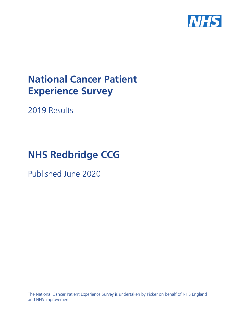

# **National Cancer Patient Experience Survey**

2019 Results

# **NHS Redbridge CCG**

Published June 2020

The National Cancer Patient Experience Survey is undertaken by Picker on behalf of NHS England and NHS Improvement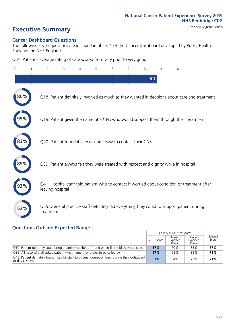# **Executive Summary** Case Mix Adjusted scores

#### **Cancer Dashboard Questions**

The following seven questions are included in phase 1 of the Cancer Dashboard developed by Public Health England and NHS England:

Q61. Patient's average rating of care scored from very poor to very good

| 0          | $\overline{2}$                                                | 3 | 4 | 5 | 6 | 7 | 8   | $\mathsf{Q}$ | 10                                                                                            |
|------------|---------------------------------------------------------------|---|---|---|---|---|-----|--------------|-----------------------------------------------------------------------------------------------|
|            |                                                               |   |   |   |   |   | 8.7 |              |                                                                                               |
|            |                                                               |   |   |   |   |   |     |              | Q18. Patient definitely involved as much as they wanted in decisions about care and treatment |
|            |                                                               |   |   |   |   |   |     |              | Q19. Patient given the name of a CNS who would support them through their treatment           |
| 83%        | Q20. Patient found it very or quite easy to contact their CNS |   |   |   |   |   |     |              |                                                                                               |
| $\bf 85\%$ |                                                               |   |   |   |   |   |     |              | Q39. Patient always felt they were treated with respect and dignity while in hospital         |
|            | leaving hospital                                              |   |   |   |   |   |     |              | Q41. Hospital staff told patient who to contact if worried about condition or treatment after |
| 52%        | treatment                                                     |   |   |   |   |   |     |              | Q55. General practice staff definitely did everything they could to support patient during    |

### **Questions Outside Expected Range**

|                                                                                                                        |            | Case Mix Adjusted Scores   |                            |                   |
|------------------------------------------------------------------------------------------------------------------------|------------|----------------------------|----------------------------|-------------------|
|                                                                                                                        | 2019 Score | Lower<br>Expected<br>Range | Upper<br>Expected<br>Range | National<br>Score |
| Q10. Patient told they could bring a family member or friend when first told they had cancer                           | 67%        | 70%                        | 83%                        | 77%               |
| Q35. All hospital staff asked patient what name they prefer to be called by                                            | 57%        | 61%                        | 81%                        | 71%               |
| [Q43] Patient definitely found hospital staff to discuss worries or fears during their outpatient<br>or day case visit | 63%        | 64%                        | 77%                        | 71%               |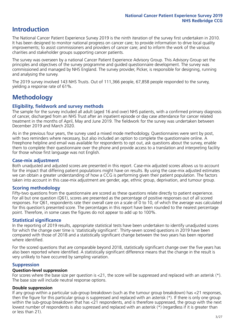# **Introduction**

The National Cancer Patient Experience Survey 2019 is the ninth iteration of the survey first undertaken in 2010. It has been designed to monitor national progress on cancer care; to provide information to drive local quality improvements; to assist commissioners and providers of cancer care; and to inform the work of the various charities and stakeholder groups supporting cancer patients.

The survey was overseen by a national Cancer Patient Experience Advisory Group. This Advisory Group set the principles and objectives of the survey programme and guided questionnaire development. The survey was commissioned and managed by NHS England. The survey provider, Picker, is responsible for designing, running and analysing the survey.

The 2019 survey involved 143 NHS Trusts. Out of 111,366 people, 67,858 people responded to the survey, yielding a response rate of 61%.

# **Methodology**

#### **Eligibility, eldwork and survey methods**

The sample for the survey included all adult (aged 16 and over) NHS patients, with a confirmed primary diagnosis of cancer, discharged from an NHS Trust after an inpatient episode or day case attendance for cancer related treatment in the months of April, May and June 2019. The fieldwork for the survey was undertaken between December 2019 and March 2020.

As in the previous four years, the survey used a mixed mode methodology. Questionnaires were sent by post, with two reminders where necessary, but also included an option to complete the questionnaire online. A Freephone helpline and email was available for respondents to opt out, ask questions about the survey, enable them to complete their questionnaire over the phone and provide access to a translation and interpreting facility for those whose first language was not English.

#### **Case-mix adjustment**

Both unadjusted and adjusted scores are presented in this report. Case-mix adjusted scores allows us to account for the impact that differing patient populations might have on results. By using the case-mix adjusted estimates we can obtain a greater understanding of how a CCG is performing given their patient population. The factors taken into account in this case-mix adjustment are gender, age, ethnic group, deprivation, and tumour group.

#### **Scoring methodology**

Fifty-two questions from the questionnaire are scored as these questions relate directly to patient experience. For all but one question (Q61), scores are presented as the percentage of positive responses out of all scored responses. For Q61, respondents rate their overall care on a scale of 0 to 10, of which the average was calculated for this question's presented score. The percentages in this report have been rounded to the nearest percentage point. Therefore, in some cases the figures do not appear to add up to 100%.

#### **Statistical significance**

In the reporting of 2019 results, appropriate statistical tests have been undertaken to identify unadjusted scores for which the change over time is 'statistically significant'. Thirty-seven scored questions in 2019 have been compared with those of 2018 and a statistically significant change between the two years has been reported where identified.

For the scored questions that are comparable beyond 2018, statistically significant change over the five years has also been reported where identified. A statistically significant difference means that the change in the result is very unlikely to have occurred by sampling variation.

#### **Suppression**

#### **Question-level suppression**

For scores where the base size per question is  $<$ 21, the score will be suppressed and replaced with an asterisk (\*). The base size will include neutral response options.

#### **Double suppression**

If any group within a particular sub-group breakdown (such as the tumour group breakdown) has <21 responses, then the figure for this particular group is suppressed and replaced with an asterisk (\*). If there is only one group within the sub-group breakdown that has <21 respondents, and is therefore suppressed, the group with the next lowest number of respondents is also supressed and replaced with an asterisk (\*) (regardless if it is greater than or less than 21).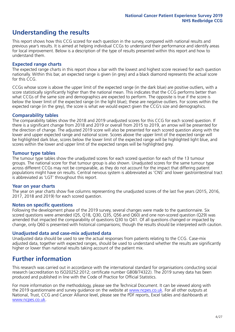# **Understanding the results**

This report shows how this CCG scored for each question in the survey, compared with national results and previous year's results. It is aimed at helping individual CCGs to understand their performance and identify areas for local improvement. Below is a description of the type of results presented within this report and how to understand them.

#### **Expected range charts**

The expected range charts in this report show a bar with the lowest and highest score received for each question nationally. Within this bar, an expected range is given (in grey) and a black diamond represents the actual score for this CCG.

CCGs whose score is above the upper limit of the expected range (in the dark blue) are positive outliers, with a score statistically significantly higher than the national mean. This indicates that the CCG performs better than what CCGs of the same size and demographics are expected to perform. The opposite is true if the score is below the lower limit of the expected range (in the light blue); these are negative outliers. For scores within the expected range (in the grey), the score is what we would expect given the CCG's size and demographics.

#### **Comparability tables**

The comparability tables show the 2018 and 2019 unadjusted scores for this CCG for each scored question. If there is a significant change from 2018 and 2019 or overall from 2015 to 2019, an arrow will be presented for the direction of change. The adjusted 2019 score will also be presented for each scored question along with the lower and upper expected range and national score. Scores above the upper limit of the expected range will be highlighted dark blue, scores below the lower limit of the expected range will be highlighted light blue, and scores within the lower and upper limit of the expected ranges will be highlighted grey.

#### **Tumour type tables**

The tumour type tables show the unadjusted scores for each scored question for each of the 13 tumour groups. The national score for that tumour group is also shown. Unadjusted scores for the same tumour type across different CCGs may not be comparable, as they do not account for the impact that differing patient populations might have on results. Central nervous system is abbreviated as 'CNS' and lower gastrointestinal tract is abbreviated as 'LGT' throughout this report.

#### **Year on year charts**

The year on year charts show five columns representing the unadjusted scores of the last five years (2015, 2016, 2017, 2018 and 2019) for each scored question.

#### **Notes on specific questions**

Following the development phase of the 2019 survey, several changes were made to the questionnaire. Six scored questions were amended (Q5, Q18, Q30, Q35, Q56 and Q60) and one non-scored question (Q29) was amended that impacted the comparability of questions Q30 to Q41. Of all questions changed or impacted by change, only Q60 is presented with historical comparisons; though the results should be interpreted with caution.

#### **Unadjusted data and case-mix adjusted data**

Unadjusted data should be used to see the actual responses from patients relating to the CCG. Case-mix adjusted data, together with expected ranges, should be used to understand whether the results are significantly higher or lower than national results taking account of the patient mix.

### **Further information**

This research was carried out in accordance with the international standard for organisations conducting social research (accreditation to ISO20252:2012; certificate number GB08/74322). The 2019 survey data has been produced and published in line with the Code of Practice for Official Statistics.

For more information on the methodology, please see the Technical Document. It can be viewed along with the 2019 questionnaire and survey quidance on the website at [www.ncpes.co.uk](https://www.ncpes.co.uk/supporting-documents). For all other outputs at National, Trust, CCG and Cancer Alliance level, please see the PDF reports, Excel tables and dashboards at [www.ncpes.co.uk.](https://www.ncpes.co.uk/current-results)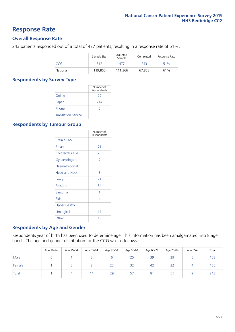### **Response Rate**

#### **Overall Response Rate**

243 patients responded out of a total of 477 patients, resulting in a response rate of 51%.

|            | Sample Size | Adjusted<br>Sample | Completed | Response Rate |
|------------|-------------|--------------------|-----------|---------------|
| <b>CCG</b> | 512         | 477                | 243       | 51%           |
| National   | 119.855     | 111,366            | 67,858    | 61%           |

#### **Respondents by Survey Type**

|                            | Number of<br>Respondents |
|----------------------------|--------------------------|
| Online                     | 29                       |
| Paper                      | 214                      |
| Phone                      |                          |
| <b>Translation Service</b> |                          |

#### **Respondents by Tumour Group**

|                      | Number of<br>Respondents |
|----------------------|--------------------------|
| <b>Brain / CNS</b>   | ∩                        |
| <b>Breast</b>        | 71                       |
| Colorectal / LGT     | 23                       |
| Gynaecological       | 7                        |
| Haematological       | 33                       |
| <b>Head and Neck</b> | 8                        |
| Lung                 | 21                       |
| Prostate             | 34                       |
| Sarcoma              | 1                        |
| Skin                 | 4                        |
| Upper Gastro         | 6                        |
| Urological           | 17                       |
| Other                | 18                       |

#### **Respondents by Age and Gender**

Respondents year of birth has been used to determine age. This information has been amalgamated into 8 age bands. The age and gender distribution for the CCG was as follows:

|        | Age 16-24 | Age 25-34 | Age 35-44 | Age 45-54 | Age 55-64 | Age 65-74 | Age 75-84 | Age 85+ | Total |
|--------|-----------|-----------|-----------|-----------|-----------|-----------|-----------|---------|-------|
| Male   |           |           |           |           | 25        | 39        | 29        |         | 108   |
| Female |           |           |           | 23        | 32        | 42        | 22        | 4       | 135   |
| Total  |           |           |           | 29        | 57        | 81        | Ę.<br>ر   |         | 243   |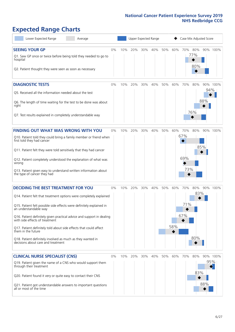# **Expected Range Charts**

| Lower Expected Range<br>Average                                                                                                                                                                                                                                                                                                                                                                                                                                                                                             |       |     | Upper Expected Range |     |     |     |            | Case Mix Adjusted Score  |                   |                 |          |
|-----------------------------------------------------------------------------------------------------------------------------------------------------------------------------------------------------------------------------------------------------------------------------------------------------------------------------------------------------------------------------------------------------------------------------------------------------------------------------------------------------------------------------|-------|-----|----------------------|-----|-----|-----|------------|--------------------------|-------------------|-----------------|----------|
| <b>SEEING YOUR GP</b><br>Q1. Saw GP once or twice before being told they needed to go to<br>hospital<br>Q2. Patient thought they were seen as soon as necessary                                                                                                                                                                                                                                                                                                                                                             | 0%    | 10% | 20%                  | 30% | 40% | 50% | 60%        | 70%                      | 80%<br>77%<br>80% |                 | 90% 100% |
| <b>DIAGNOSTIC TESTS</b><br>Q5. Received all the information needed about the test<br>Q6. The length of time waiting for the test to be done was about<br>right<br>Q7. Test results explained in completely understandable way                                                                                                                                                                                                                                                                                               | $0\%$ | 10% | 20%                  | 30% | 40% | 50% | 60%        | 70%                      | 80%<br>76%        | 94%<br>88%      | 90% 100% |
| <b>FINDING OUT WHAT WAS WRONG WITH YOU</b><br>Q10. Patient told they could bring a family member or friend when<br>first told they had cancer<br>Q11. Patient felt they were told sensitively that they had cancer<br>Q12. Patient completely understood the explanation of what was<br>wrong<br>Q13. Patient given easy to understand written information about<br>the type of cancer they had                                                                                                                             | $0\%$ | 10% | 20%                  | 30% | 40% | 50% | 60%        | 70%<br>67%<br>69%<br>73% | 80%               | 85%             | 90% 100% |
| <b>DECIDING THE BEST TREATMENT FOR YOU</b><br>Q14. Patient felt that treatment options were completely explained<br>Q15. Patient felt possible side effects were definitely explained in<br>an understandable way<br>Q16. Patient definitely given practical advice and support in dealing<br>with side effects of treatment<br>Q17. Patient definitely told about side effects that could affect<br>them in the future<br>Q18. Patient definitely involved as much as they wanted in<br>decisions about care and treatment | 0%    | 10% | 20%                  | 30% | 40% | 50% | 60%<br>58% | 70%<br>71%<br>67%        | 80%<br>83%<br>80% |                 | 90% 100% |
| <b>CLINICAL NURSE SPECIALIST (CNS)</b><br>Q19. Patient given the name of a CNS who would support them<br>through their treatment<br>Q20. Patient found it very or quite easy to contact their CNS<br>Q21. Patient got understandable answers to important questions<br>all or most of the time                                                                                                                                                                                                                              | 0%    | 10% | 20%                  | 30% | 40% | 50% | 60%        | 70%                      | 80%<br>83%        | 95%<br>♦<br>88% | 90% 100% |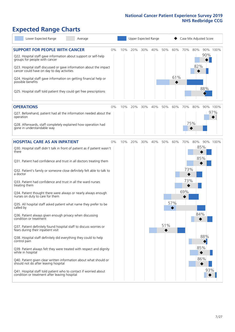# **Expected Range Charts**

| Lower Expected Range<br>Average                                                                                                                                                                            |    |     |     |     | Upper Expected Range |     |     | Case Mix Adjusted Score |            |     |          |
|------------------------------------------------------------------------------------------------------------------------------------------------------------------------------------------------------------|----|-----|-----|-----|----------------------|-----|-----|-------------------------|------------|-----|----------|
| <b>SUPPORT FOR PEOPLE WITH CANCER</b><br>Q22. Hospital staff gave information about support or self-help<br>groups for people with cancer                                                                  | 0% | 10% | 20% | 30% | 40%                  | 50% | 60% | 70%                     | 80%<br>82% | 90% | 90% 100% |
| Q23. Hospital staff discussed or gave information about the impact<br>cancer could have on day to day activities<br>Q24. Hospital staff gave information on getting financial help or<br>possible benefits |    |     |     |     |                      |     | 61% |                         |            |     |          |
| Q25. Hospital staff told patient they could get free prescriptions                                                                                                                                         |    |     |     |     |                      |     |     |                         |            | 88% |          |
| <b>OPERATIONS</b>                                                                                                                                                                                          | 0% | 10% | 20% | 30% | 40%                  | 50% | 60% | 70%                     | 80%        |     | 90% 100% |
| Q27. Beforehand, patient had all the information needed about the<br>operation                                                                                                                             |    |     |     |     |                      |     |     |                         |            |     | 97%      |
| Q28. Afterwards, staff completely explained how operation had<br>gone in understandable way                                                                                                                |    |     |     |     |                      |     |     |                         | 75%        |     |          |
| <b>HOSPITAL CARE AS AN INPATIENT</b>                                                                                                                                                                       | 0% | 10% | 20% | 30% | 40%                  | 50% | 60% | 70%                     | 80%        |     | 90% 100% |
| Q30. Hospital staff didn't talk in front of patient as if patient wasn't<br>there                                                                                                                          |    |     |     |     |                      |     |     |                         | 85%        | 85% |          |
| Q31. Patient had confidence and trust in all doctors treating them                                                                                                                                         |    |     |     |     |                      |     |     |                         |            |     |          |
| Q32. Patient's family or someone close definitely felt able to talk to<br>a doctor                                                                                                                         |    |     |     |     |                      |     |     | 73%                     |            |     |          |
| Q33. Patient had confidence and trust in all the ward nurses<br>treating them                                                                                                                              |    |     |     |     |                      |     |     | 73%<br>69%              |            |     |          |
| Q34. Patient thought there were always or nearly always enough<br>nurses on duty to care for them                                                                                                          |    |     |     |     |                      |     |     |                         |            |     |          |
| Q35. All hospital staff asked patient what name they prefer to be<br>called by                                                                                                                             |    |     |     |     |                      |     | 57% |                         |            |     |          |
| Q36. Patient always given enough privacy when discussing<br>condition or treatment                                                                                                                         |    |     |     |     |                      |     |     |                         | 84%        |     |          |
| Q37. Patient definitely found hospital staff to discuss worries or<br>fears during their inpatient visit                                                                                                   |    |     |     |     |                      | 51% |     |                         |            |     |          |
| Q38. Hospital staff definitely did everything they could to help<br>control pain                                                                                                                           |    |     |     |     |                      |     |     |                         |            | 88% |          |
| Q39. Patient always felt they were treated with respect and dignity<br>while in hospital                                                                                                                   |    |     |     |     |                      |     |     |                         |            | 85% |          |
| Q40. Patient given clear written information about what should or<br>should not do after leaving hospital                                                                                                  |    |     |     |     |                      |     |     |                         |            | 86% |          |
| Q41. Hospital staff told patient who to contact if worried about<br>condition or treatment after leaving hospital                                                                                          |    |     |     |     |                      |     |     |                         |            | 93% |          |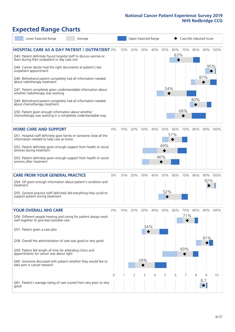# **Expected Range Charts**

| Lower Expected Range<br>Average                                                                                                                                                                                                                                                                                                                                                                                                                                                                                                                                                                                                                                                                        |            |     |          | Upper Expected Range   |          |                   |            | Case Mix Adjusted Score |            |            |                |
|--------------------------------------------------------------------------------------------------------------------------------------------------------------------------------------------------------------------------------------------------------------------------------------------------------------------------------------------------------------------------------------------------------------------------------------------------------------------------------------------------------------------------------------------------------------------------------------------------------------------------------------------------------------------------------------------------------|------------|-----|----------|------------------------|----------|-------------------|------------|-------------------------|------------|------------|----------------|
| <b>HOSPITAL CARE AS A DAY PATIENT / OUTPATIENT 0%</b><br>Q43. Patient definitely found hospital staff to discuss worries or<br>fears during their outpatient or day case visit<br>Q44. Cancer doctor had the right documents at patient's last<br>outpatient appointment<br>Q46. Beforehand patient completely had all information needed<br>about radiotherapy treatment<br>Q47. Patient completely given understandable information about<br>whether radiotherapy was working<br>Q49. Beforehand patient completely had all information needed<br>about chemotherapy treatment<br>Q50. Patient given enough information about whether<br>chemotherapy was working in a completely understandable way |            | 10% | 20%      | 30%                    | 40%      | 50%<br>54%<br>♦   | 60%<br>63% | 70%<br>68%              | 80%<br>80% | 95%<br>87% | 90% 100%       |
| <b>HOME CARE AND SUPPORT</b><br>Q51. Hospital staff definitely gave family or someone close all the<br>information needed to help care at home<br>Q52. Patient definitely given enough support from health or social<br>services during treatment<br>Q53. Patient definitely given enough support from health or social<br>services after treatment                                                                                                                                                                                                                                                                                                                                                    | 0%         | 10% | 20%      | 30%                    | 40%      | 50%<br>49%<br>46% | 60%<br>57% | 70%                     | 80%        |            | 90% 100%       |
| <b>CARE FROM YOUR GENERAL PRACTICE</b><br>Q54. GP given enough information about patient's condition and<br>treatment<br>Q55. General practice staff definitely did everything they could to<br>support patient during treatment                                                                                                                                                                                                                                                                                                                                                                                                                                                                       | 0%         | 10% | 20%      | 30%                    | 40%      | 50%<br>52%        | 60%        | 70%                     | 80%        | 92%        | 90% 100%       |
| <b>YOUR OVERALL NHS CARE</b><br>Q56. Different people treating and caring for patient always work<br>well together to give best possible care<br>Q57. Patient given a care plan<br>Q58. Overall the administration of care was good or very good<br>Q59. Patient felt length of time for attending clinics and<br>appointments for cancer was about right<br>Q60. Someone discussed with patient whether they would like to<br>take part in cancer research                                                                                                                                                                                                                                            | $0\%$<br>0 | 10% | 20%<br>2 | 30%<br>34%<br>28%<br>3 | 40%<br>4 | 50%<br>5          | 60%<br>6   | 70%<br>71%<br>69%       | 80%<br>8   | 91%<br>9   | 90% 100%<br>10 |
| Q61. Patient's average rating of care scored from very poor to very<br>good                                                                                                                                                                                                                                                                                                                                                                                                                                                                                                                                                                                                                            |            |     |          |                        |          |                   |            |                         |            | 8.7        |                |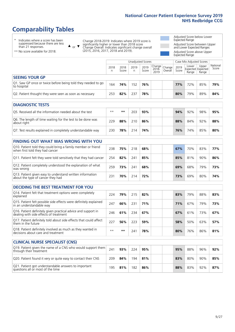# **Comparability Tables**

\* Indicates where a score has been suppressed because there are less than 21 responses.

\*\* No score available for 2018.

 $\triangle$  or  $\nabla$ 

Change 2018-2019: Indicates where 2019 score is significantly higher or lower than 2018 score Change Overall: Indicates significant change overall (2015, 2016, 2017, 2018 and 2019).

Adjusted Score below Lower Expected Range Adjusted Score between Upper and Lower Expected Ranges Adjusted Score above Upper Expected Range

|                                                                             |           |               | Unadjusted Scores |               |                                             |         |               | Case Mix Adjusted Scores |                                     |                   |
|-----------------------------------------------------------------------------|-----------|---------------|-------------------|---------------|---------------------------------------------|---------|---------------|--------------------------|-------------------------------------|-------------------|
|                                                                             | 2018<br>n | 2018<br>Score | 2019<br>n         | 2019<br>Score | $\sim$   Change   Change  <br>2018-<br>2019 | Overall | 2019<br>Score | Lower<br>Range           | Upper<br>Expected Expected<br>Range | National<br>Score |
| <b>SEEING YOUR GP</b>                                                       |           |               |                   |               |                                             |         |               |                          |                                     |                   |
| Q1. Saw GP once or twice before being told they needed to go<br>to hospital | 164       | 74%           | 152               | 76%           |                                             |         | <b>77%</b>    | 72%                      | 85%                                 | 79%               |
| Q2. Patient thought they were seen as soon as necessary                     | 253       | 82%           | 237               | 78%           |                                             |         | 80%           | 79%                      | 89%                                 | 84%               |
| <b>DIAGNOSTIC TESTS</b>                                                     |           |               |                   |               |                                             |         |               |                          |                                     |                   |

| <b>PIASIVOJIIL ILJIJ</b>                                                  |       |     |     |     |     |     |     |     |
|---------------------------------------------------------------------------|-------|-----|-----|-----|-----|-----|-----|-----|
| Q5. Received all the information needed about the test                    | $***$ | **  | 203 | 93% | 94% | 92% | 98% | 95% |
| Q6. The length of time waiting for the test to be done was<br>about right | 229   | 88% | 210 | 86% | 88% | 84% | 92% | 88% |
| Q7. Test results explained in completely understandable way               | 230   | 78% | 214 | 74% | 76% | 74% | 85% | 80% |

| <b>FINDING OUT WHAT WAS WRONG WITH YOU</b>                                                      |     |     |     |     |     |     |     |     |
|-------------------------------------------------------------------------------------------------|-----|-----|-----|-----|-----|-----|-----|-----|
| Q10. Patient told they could bring a family member or friend<br>when first told they had cancer | 238 | 75% | 218 | 68% | 67% | 70% | 83% | 77% |
| Q11. Patient felt they were told sensitively that they had cancer                               | 254 | 82% | 241 | 85% | 85% | 81% | 90% | 86% |
| Q12. Patient completely understood the explanation of what<br>was wrong                         | 259 | 73% | 241 | 68% | 69% | 68% | 79% | 73% |
| Q13. Patient given easy to understand written information<br>about the type of cancer they had  | 231 | 70% | 214 | 72% | 73% | 69% | 80% | 74% |

| <b>DECIDING THE BEST TREATMENT FOR YOU</b>                                                              |      |     |     |     |     |     |     |     |
|---------------------------------------------------------------------------------------------------------|------|-----|-----|-----|-----|-----|-----|-----|
| Q14. Patient felt that treatment options were completely<br>explained                                   | 224  | 79% | 215 | 82% | 83% | 79% | 88% | 83% |
| Q15. Patient felt possible side effects were definitely explained<br>in an understandable way           | 247  | 66% | 231 | 71% | 71% | 67% | 79% | 73% |
| Q16. Patient definitely given practical advice and support in<br>dealing with side effects of treatment | 246  | 61% | 234 | 67% | 67% | 61% | 73% | 67% |
| Q17. Patient definitely told about side effects that could affect<br>them in the future                 | 227  | 56% | 223 | 59% | 58% | 50% | 63% | 57% |
| Q18. Patient definitely involved as much as they wanted in<br>decisions about care and treatment        | $**$ | **  | 241 | 78% | 80% | 76% | 86% | 81% |

| <b>CLINICAL NURSE SPECIALIST (CNS)</b>                                                    |     |     |     |     |     |     |     |     |
|-------------------------------------------------------------------------------------------|-----|-----|-----|-----|-----|-----|-----|-----|
| Q19. Patient given the name of a CNS who would support them<br>through their treatment    | 241 | 93% | 224 | 95% | 95% | 88% | 96% | 92% |
| Q20. Patient found it very or quite easy to contact their CNS                             | 209 | 84% | 194 | 81% | 83% | 80% | 90% | 85% |
| Q21. Patient got understandable answers to important<br>questions all or most of the time | 195 | 81% | 182 | 86% | 88% | 83% | 92% | 87% |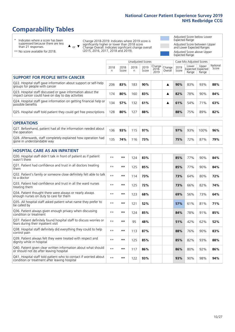# **Comparability Tables**

\* Indicates where a score has been suppressed because there are less than 21 responses.

\*\* No score available for 2018.

 $\triangle$  or  $\nabla$ 

Change 2018-2019: Indicates where 2019 score is significantly higher or lower than 2018 score Change Overall: Indicates significant change overall (2015, 2016, 2017, 2018 and 2019).

Adjusted Score below Lower Expected Range Adjusted Score between Upper and Lower Expected Ranges Adjusted Score above Upper Expected Range

|                                                                                                                   |              |               |           | <b>Unadjusted Scores</b> |                         |                   |               | Case Mix Adjusted Scores            |                |                   |
|-------------------------------------------------------------------------------------------------------------------|--------------|---------------|-----------|--------------------------|-------------------------|-------------------|---------------|-------------------------------------|----------------|-------------------|
|                                                                                                                   | 2018<br>n    | 2018<br>Score | 2019<br>n | 2019<br>Score            | Change<br>2018-<br>2019 | Change<br>Overall | 2019<br>Score | Lower<br>Expected Expected<br>Range | Upper<br>Range | National<br>Score |
| <b>SUPPORT FOR PEOPLE WITH CANCER</b>                                                                             |              |               |           |                          |                         |                   |               |                                     |                |                   |
| Q22. Hospital staff gave information about support or self-help<br>groups for people with cancer                  | 206          | 83%           | 183       | 90%                      |                         | ▲                 | 90%           | 83%                                 | 93%            | 88%               |
| Q23. Hospital staff discussed or gave information about the<br>impact cancer could have on day to day activities  | 174          | 80%           | 160       | 83%                      |                         | ▲                 | 82%           | 78%                                 | 90%            | 84%               |
| Q24. Hospital staff gave information on getting financial help or<br>possible benefits                            | 134          | 57%           | 132       | 61%                      |                         | ▲                 | 61%           | 54%                                 | 71%            | 63%               |
| Q25. Hospital staff told patient they could get free prescriptions                                                | 128          | 80%           | 127       | 88%                      |                         |                   | 88%           | 75%                                 | 89%            | 82%               |
| <b>OPERATIONS</b>                                                                                                 |              |               |           |                          |                         |                   |               |                                     |                |                   |
| Q27. Beforehand, patient had all the information needed about<br>the operation                                    | 136          | 93%           | 115       | 97%                      |                         |                   | 97%           | 93%                                 | 100%           | 96%               |
| Q28. Afterwards, staff completely explained how operation had<br>gone in understandable way                       | 135          | 74%           | 116       | 73%                      |                         |                   | 75%           | 72%                                 | 87%            | 79%               |
| <b>HOSPITAL CARE AS AN INPATIENT</b>                                                                              |              |               |           |                          |                         |                   |               |                                     |                |                   |
| Q30. Hospital staff didn't talk in front of patient as if patient<br>wasn't there                                 | $* *$        | **            | 124       | 83%                      |                         |                   | 85%           | 77%                                 | 90%            | 84%               |
| Q31. Patient had confidence and trust in all doctors treating<br>them                                             | $\star\star$ | **            | 125       | 85%                      |                         |                   | 85%           | 77%                                 | 90%            | 84%               |
| Q32. Patient's family or someone close definitely felt able to talk<br>to a doctor                                | $\star\star$ | **            | 114       | 73%                      |                         |                   | 73%           | 64%                                 | 80%            | 72%               |
| Q33. Patient had confidence and trust in all the ward nurses<br>treating them                                     | $\star\star$ | **            | 125       | 72%                      |                         |                   | 73%           | 66%                                 | 82%            | 74%               |
| Q34. Patient thought there were always or nearly always<br>enough nurses on duty to care for them                 | $**$         | $***$         | 123       | 68%                      |                         |                   | 69%           | 56%                                 | 73%            | 64%               |
| Q35. All hospital staff asked patient what name they prefer to<br>be called by                                    | $**$         | **            | 121       | 52%                      |                         |                   | 57%           | 61%                                 | 81%            | 71%               |
| Q36. Patient always given enough privacy when discussing<br>condition or treatment                                | $\star\star$ | **            | 124       | 85%                      |                         |                   | 84%           | 78%                                 | 91%            | 85%               |
| Q37. Patient definitely found hospital staff to discuss worries or<br>fears during their inpatient visit          | $\star\star$ | **            | 95        | 48%                      |                         |                   | 51%           | 42%                                 | 62%            | 52%               |
| Q38. Hospital staff definitely did everything they could to help<br>control pain                                  | $\star\star$ | **            | 113       | 87%                      |                         |                   | 88%           | 76%                                 | 90%            | 83%               |
| Q39. Patient always felt they were treated with respect and<br>dignity while in hospital                          | $\star\star$ | **            | 125       | 85%                      |                         |                   | 85%           | 82%                                 | 93%            | 88%               |
| Q40. Patient given clear written information about what should<br>or should not do after leaving hospital         | $**$         | **            | 117       | 86%                      |                         |                   | 86%           | 80%                                 | 92%            | 86%               |
| Q41. Hospital staff told patient who to contact if worried about<br>condition or treatment after leaving hospital | $**$         | **            | 122       | 93%                      |                         |                   | 93%           | 90%                                 | 98%            | 94%               |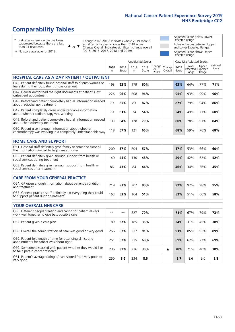# **Comparability Tables**

\* Indicates where a score has been suppressed because there are less than 21 responses.

\*\* No score available for 2018.

 $\triangle$  or  $\nabla$ 

Change 2018-2019: Indicates where 2019 score is significantly higher or lower than 2018 score Change Overall: Indicates significant change overall (2015, 2016, 2017, 2018 and 2019).

Adjusted Score below Lower Expected Range Adjusted Score between Upper and Lower Expected Ranges Adjusted Score above Upper Expected Range

|                                                                                                                       |              |               |            | <b>Unadjusted Scores</b> |                         |                   |               | Case Mix Adjusted Scores            |                |                   |
|-----------------------------------------------------------------------------------------------------------------------|--------------|---------------|------------|--------------------------|-------------------------|-------------------|---------------|-------------------------------------|----------------|-------------------|
|                                                                                                                       | 2018<br>n.   | 2018<br>Score | 2019<br>n. | 2019<br>Score            | Change<br>2018-<br>2019 | Change<br>Overall | 2019<br>Score | Lower<br>Expected Expected<br>Range | Upper<br>Range | National<br>Score |
| <b>HOSPITAL CARE AS A DAY PATIENT / OUTPATIENT</b>                                                                    |              |               |            |                          |                         |                   |               |                                     |                |                   |
| Q43. Patient definitely found hospital staff to discuss worries or<br>fears during their outpatient or day case visit | 193          | 62%           | 179        | 60%                      |                         |                   | 63%           | 64%                                 | 77%            | 71%               |
| Q44. Cancer doctor had the right documents at patient's last<br>outpatient appointment                                | 226          | 96%           | 208        | 94%                      |                         |                   | 95%           | 93%                                 | 99%            | 96%               |
| Q46. Beforehand patient completely had all information needed<br>about radiotherapy treatment                         | 79           | 85%           | 83         | 87%                      |                         |                   | 87%           | 79%                                 | 94%            | 86%               |
| Q47. Patient completely given understandable information<br>about whether radiotherapy was working                    | 70           | 61%           | 74         | 54%                      |                         |                   | 54%           | 49%                                 | 71%            | 60%               |
| Q49. Beforehand patient completely had all information needed<br>about chemotherapy treatment                         | 133          | 84%           | 128        | 79%                      |                         |                   | 80%           | 78%                                 | 91%            | 84%               |
| Q50. Patient given enough information about whether<br>chemotherapy was working in a completely understandable way    | 118          | 67%           | 121        | 66%                      |                         |                   | 68%           | 59%                                 | 76%            | 68%               |
| <b>HOME CARE AND SUPPORT</b>                                                                                          |              |               |            |                          |                         |                   |               |                                     |                |                   |
| Q51. Hospital staff definitely gave family or someone close all<br>the information needed to help care at home        | 200          | 57%           | 204        | 57%                      |                         |                   | 57%           | 53%                                 | 66%            | 60%               |
| Q52. Patient definitely given enough support from health or<br>social services during treatment                       | 140          | 45%           | 130        | 48%                      |                         |                   | 49%           | 42%                                 | 62%            | 52%               |
| Q53. Patient definitely given enough support from health or<br>social services after treatment                        | 86           | 43%           | 84         | 44%                      |                         |                   | 46%           | 34%                                 | 56%            | 45%               |
| <b>CARE FROM YOUR GENERAL PRACTICE</b>                                                                                |              |               |            |                          |                         |                   |               |                                     |                |                   |
| Q54. GP given enough information about patient's condition<br>and treatment                                           | 219          | 93%           | 207        | 90%                      |                         |                   | 92%           | 92%                                 | 98%            | 95%               |
| Q55. General practice staff definitely did everything they could<br>to support patient during treatment               | 163          | 53%           | 164        | 51%                      |                         |                   | 52%           | 51%                                 | 66%            | 58%               |
| <b>YOUR OVERALL NHS CARE</b>                                                                                          |              |               |            |                          |                         |                   |               |                                     |                |                   |
| Q56. Different people treating and caring for patient always                                                          | $\star\star$ | $**$          | 227        | 70%                      |                         |                   | 71%           | 67%                                 | 79%            | 73%               |
| work well together to give best possible care                                                                         |              |               |            |                          |                         |                   |               |                                     |                |                   |
| Q57. Patient given a care plan                                                                                        | 189          | 37%           | 185        | 36%                      |                         |                   | 34%           | 31%                                 | 45%            | 38%               |
| Q58. Overall the administration of care was good or very good                                                         | 256          | 87%           | 237        | 91%                      |                         |                   | 91%           | 85%                                 | 93%            | 89%               |
| Q59. Patient felt length of time for attending clinics and<br>appointments for cancer was about right                 | 251          | 62%           | 235        | 68%                      |                         |                   | 69%           | 62%                                 | 77%            | 69%               |
| Q60. Someone discussed with patient whether they would like<br>to take part in cancer research                        | 236          | 37%           | 216        | 30%                      |                         | ▲                 | 28%           | 21%                                 | 40%            | 30%               |
| Q61. Patient's average rating of care scored from very poor to<br>very good                                           | 250          | 8.6           | 234        | 8.6                      |                         |                   | 8.7           | 8.6                                 | 9.0            | 8.8               |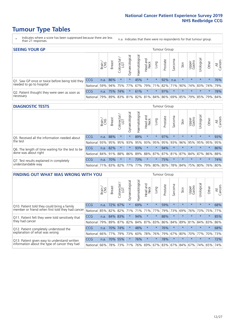- \* Indicates where a score has been suppressed because there are less than 21 responses.
- n.a. Indicates that there were no respondents for that tumour group.

| <b>SEEING YOUR GP</b>                           |            |              |               |            |                    |                |                  |         | Tumour Group |         |         |                 |                                                           |         |                |
|-------------------------------------------------|------------|--------------|---------------|------------|--------------------|----------------|------------------|---------|--------------|---------|---------|-----------------|-----------------------------------------------------------|---------|----------------|
|                                                 |            | Brain<br>CNS | <b>Breast</b> | Colorectal | ᠊ᢛ<br>Gynaecologic | Haematological | Head and<br>Neck | Lung    | Prostate     | Sarcoma | Skin    | Upper<br>Gastro | $\sigma$<br>Irologica                                     | Other   | All<br>Cancers |
| Q1. Saw GP once or twice before being told they | CCG        | n.a.         | 86%           | $\star$    | $\star$            | 45%            | $\star$          | $\star$ | 92%          | n.a.    | $\star$ | $\star$         | $\star$                                                   | $\star$ | 76%            |
| needed to go to hospital                        | National   | 59%          |               |            | 94% 75% 77%        |                |                  |         |              |         |         |                 | 67%   79%   71%   82%   71%   90%   74%   83%   74%   79% |         |                |
| Q2. Patient thought they were seen as soon as   | <b>CCG</b> | n.a.         |               | 75% 74%    | $\star$            | 61%            | $\star$          | $\star$ | 97%          | $\star$ | $\star$ | $\star$         | $\star$                                                   | $\star$ | 78%            |
| necessary                                       | National   | 79%          |               | 89% 83%    |                    |                |                  |         |              |         |         |                 | 81%   82%   81%   84%   86%   69%   85%   79%   85%   79% |         | 84%            |

#### **DIAGNOSTIC TESTS** Tumour Group

|                                                   |                                          | Brain | <b>Breast</b> | Colorectal<br>LGT | ᅙ<br>Gynaecologic | Haematological | Head and<br>Neck | Lung        | Prostate | Sarcoma | Skin    | Upper<br>Gastro | rological                                   | Other   | All<br>Cancers |
|---------------------------------------------------|------------------------------------------|-------|---------------|-------------------|-------------------|----------------|------------------|-------------|----------|---------|---------|-----------------|---------------------------------------------|---------|----------------|
| Q5. Received all the information needed about     | <b>CCG</b>                               | n.a.  | 88%           |                   | $\star$           | 89%            | $\star$          | $\star$     | 97%      |         | $\star$ | $\star$         | $\star$                                     | $\star$ | 93%            |
| the test                                          | National                                 | 93%   |               | 95% 95%           | 93%               | 95%            |                  | 93% 95% 95% |          | 93%     | 96%     |                 | 95% 95%                                     | 95%     | 95%            |
| Q6. The length of time waiting for the test to be | <b>CCG</b>                               | n.a.  | 82%           |                   | $\star$           | 93%            | $\star$          | $\star$     | 94%      | $\star$ | $\star$ | $\star$         | $\star$                                     | $\star$ | 86%            |
| done was about right                              | <b>National</b>                          |       | 84% 91%       | 88%               |                   |                |                  |             |          |         |         |                 | 86% 89% 88% 87% 87% 81% 87% 84% 87% 86% 88% |         |                |
| Q7. Test results explained in completely          | <b>CCG</b>                               | n.a.  | 70%           |                   | $\star$           | 73%            | $\star$          | $\star$     | 75%      | $\star$ | $\star$ | $\star$         | $\star$                                     | $\star$ | 74%            |
| understandable way                                | National 71% 83% 82% 77% 77% 79% 80% 80% |       |               |                   |                   |                |                  |             |          |         |         |                 | 78% 84% 75% 80% 76% 80%                     |         |                |

| <b>FINDING OUT WHAT WAS WRONG WITH YOU</b>        |            |       |               |                        |                |                |                        |             | <b>Tumour Group</b>     |         |         |                 |           |         |                |
|---------------------------------------------------|------------|-------|---------------|------------------------|----------------|----------------|------------------------|-------------|-------------------------|---------|---------|-----------------|-----------|---------|----------------|
|                                                   |            | Brain | <b>Breast</b> | olorectal.<br>LGT<br>Ü | Gynaecological | Haematological | ad and<br>Neck<br>Head | Lung        | Prostate                | Sarcoma | Skin    | Upper<br>Gastro | Urologica | Other   | All<br>Cancers |
| Q10. Patient told they could bring a family       | <b>CCG</b> | n.a.  | 72%           | 67%                    | $\star$        | 69%            | $\star$                | $\star$     | 59%                     | $\star$ | $\star$ | $\star$         | $\star$   | $\star$ | 68%            |
| member or friend when first told they had cancer  | National   | 85%   | 82%           | 82%                    | 71%            | 71%            | 71%                    | 77%         | 79%                     | 73%     | 69%     | 76%             | 73%       | 75%     | 77%            |
| Q11. Patient felt they were told sensitively that | <b>CCG</b> | n.a.  | 84%           | 83%                    |                | 94%            | $\star$                | $\star$     | 88%                     | $\star$ | $\star$ | $\star$         | $\star$   | $\star$ | 85%            |
| they had cancer                                   | National   | 79%   | 89% 87%       |                        | 82%            |                |                        | 84% 87% 83% | 86%                     | 84%     | 89%     | 81%             | 84% 83%   |         | 86%            |
| Q12. Patient completely understood the            | <b>CCG</b> | n.a.  | 70%           | 74%                    | $\star$        | 48%            | $\star$                | $^\star$    | 76%                     | $\star$ |         | $\star$         | $\star$   | $\star$ | 68%            |
| explanation of what was wrong                     | National   | 66%   | 77%           | 79%                    | 73%            | 60%            | 78%                    | 76%         | 79%                     | 67%     | 80%     | 70%             | 77%       | 70%     | 73%            |
| Q13. Patient given easy to understand written     | <b>CCG</b> | n.a.  |               | 70% 55%                |                | 76%            | $\star$                | $\star$     | 78%                     | $\star$ | $\star$ | $\star$         | $\star$   | $\star$ | 72%            |
| information about the type of cancer they had     | National   | 66%   | 78%           | 73%                    |                |                |                        |             | 71% 76% 69% 67% 83% 67% |         | 84%     |                 | 67% 74%   | 65%     | 74%            |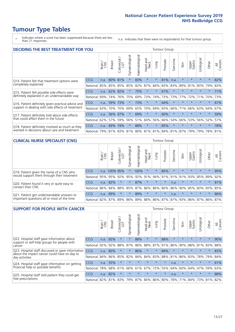- \* Indicates where a score has been suppressed because there are less than 21 responses.
- n.a. Indicates that there were no respondents for that tumour group.

| <b>DECIDING THE BEST TREATMENT FOR YOU</b>         |            |       |                                             |                            |                |                |                        |          | <b>Tumour Group</b> |              |         |                 |            |         |                |
|----------------------------------------------------|------------|-------|---------------------------------------------|----------------------------|----------------|----------------|------------------------|----------|---------------------|--------------|---------|-----------------|------------|---------|----------------|
|                                                    |            | Brain | <b>Breast</b>                               | olorectal<br>LGT<br>$\cup$ | Gynaecological | Haematological | ad and<br>Neck<br>Head | Lung     | Prostate            | arcoma<br>vĀ | Skin    | Upper<br>Gastro | Jrological | Other   | All<br>Cancers |
| Q14. Patient felt that treatment options were      | CCG        | n.a.  | 80%                                         | 81%                        | $\star$        | 83%            | $\star$                | $^\star$ | 81%                 | n.a.         | $\star$ | $\star$         | $\star$    | $\star$ | 82%            |
| completely explained                               | National   | 85%   | 85%                                         | 85%                        | 85%            | 82%            | 87%                    | 84%      | 83%                 | 83%          | 89%     | 81%             | 83%        | 79%     | 83%            |
| Q15. Patient felt possible side effects were       | CCG        | n.a.  | 62%                                         | 82%                        | $\star$        | 75%            | $\star$                | $\star$  | 67%                 | $\star$      |         | $\star$         | $\star$    | $\star$ | 71%            |
| definitely explained in an understandable way      | National   | 69%   | 74%                                         | 76%                        | 75%            | 69%            | 73%                    | 74%      | 73%                 | 73%          | 77%     | 72%             | 71%        | 70%     | 73%            |
| Q16. Patient definitely given practical advice and | <b>CCG</b> | n.a.  | 59%                                         | 73%                        |                | 73%            | $\star$                | $\star$  | 64%                 | $\star$      | $\star$ | $\star$         | $\star$    | $\star$ | 67%            |
| support in dealing with side effects of treatment  | National   | 63%   | 70%                                         | 70%                        | 69%            | 65%            | 70%                    | 69%      | 65%                 | 66%          | 71%     | 66%             | 63%        | 64%     | 67%            |
| Q17. Patient definitely told about side effects    | <b>CCG</b> | n.a.  | 56%                                         | 67%                        | $\star$        | 69%            | $\star$                | $\star$  | 60%                 | $\star$      | $\star$ | $\star$         | $\star$    | $\star$ | 59%            |
| that could affect them in the future               | National   | 62%   | 57%                                         | 59%                        | 56%            | 51%            | 64%                    | 56%      | 66%                 | 54%          | 66%     | 53%             | 56%        | 52%     | 57%            |
| Q18. Patient definitely involved as much as they   | <b>CCG</b> | n.a.  | 69%                                         | 74%                        | $\star$        | 88%            | $\star$                | $\star$  | 85%                 | $\star$      | $\star$ | $\star$         | $\star$    | $\star$ | 78%            |
| wanted in decisions about care and treatment       | National   |       | 79% 81% 83% 81% 80% 81% 81% 84% 81% 87% 79% |                            |                |                |                        |          |                     |              |         |                 | 79%        | 78% 81% |                |

#### **CLINICAL NURSE SPECIALIST (CNS)** Tumour Group

|                                             |            | Brain | Breast        | Colorectal<br>LGT | ᢛ<br>Gynaecologi | Haematological              | Head and<br>Neck | Lung            | Prostate | Sarcoma | Skin    | Upper<br>Gastro | σ<br>Irologica  | Other   | All<br>Cancers |
|---------------------------------------------|------------|-------|---------------|-------------------|------------------|-----------------------------|------------------|-----------------|----------|---------|---------|-----------------|-----------------|---------|----------------|
| Q19. Patient given the name of a CNS who    | <b>CCG</b> |       | n.a. 100% 95% |                   |                  | 100%                        | $\star$          |                 | 85%      | $\star$ | $\star$ | $\star$         | $\star$         | $\star$ | 95%            |
| would support them through their treatment  | National   | 95%   | 95%           | 92%               | 95%              | 92%                         | 91%              | 94% 91%         |          | 91%     | 91%     | 93%             | 85% 89%         |         | 92%            |
| Q20. Patient found it very or quite easy to | <b>CCG</b> | n.a.  | 82%           |                   | $\star$          | 87%                         | $\star$          | $\star$         | $\star$  | n.a.    |         | $\star$         | $\star$         | $\star$ | 81%            |
| contact their CNS                           | National   | 86%   | 84%           | 88%               | 85%              |                             |                  | 87% 86% 86% 80% |          | 86%     | 90%     | 85%             | 83% 83%         |         | 85%            |
| Q21. Patient got understandable answers to  | CCG        | n.a.  | 89%           |                   | $\star$          | 89%                         | $\star$          | $\star$         | $\star$  | n.a.    | $\star$ | $\star$         | $\star$         | $\star$ | 86%            |
| important questions all or most of the time | National   | 82%   | 87%           | 89%               |                  | 86% 89% 88% 86% 87% 87% 93% |                  |                 |          |         |         |                 | 86% 87% 86% 87% |         |                |

| <b>SUPPORT FOR PEOPLE WITH CANCER</b>                                                             |            |       |               |                 |                |                |                         |         | <b>Tumour Group</b> |              |         |                 |            |         |                |
|---------------------------------------------------------------------------------------------------|------------|-------|---------------|-----------------|----------------|----------------|-------------------------|---------|---------------------|--------------|---------|-----------------|------------|---------|----------------|
|                                                                                                   |            | Brain | <b>Breast</b> | ╮<br>Colorectal | Gynaecological | Haematological | ead and<br>Neck<br>Head | Lung    | Prostate            | arcoma<br>ιñ | Skin    | Upper<br>Gastro | Urological | Other   | All<br>Cancers |
| Q22. Hospital staff gave information about<br>support or self-help groups for people with         | CCG        | n.a.  | 92%           | $\star$         | $\star$        | 88%            | $\star$                 | $\star$ | 88%                 | $\star$      | $\star$ | $\star$         | $\star$    | $\star$ | 90%            |
| cancer                                                                                            | National   | 92%   | 92%           | 88%             | 87%            | 86%            | 88%                     | 87%     | 91%                 | 86%          | 90%     | 88%             | 81%        | 83%     | 88%            |
| Q23. Hospital staff discussed or gave information<br>about the impact cancer could have on day to | <b>CCG</b> | n.a.  | 80%           | $\star$         | $\star$        | 86%            | $\star$                 | $\star$ | 84%                 | $\star$      | $\star$ | $\star$         | $\star$    | $\star$ | 83%            |
| day activities                                                                                    | National   | 84%   | 86%           | 85%             | 82%            | 84%            | 84%                     | 83%     | 88%                 | 81%          | 86%     | 83%             | 78%        | 79%     | 84%            |
| Q24. Hospital staff gave information on getting                                                   | <b>CCG</b> | n.a.  | 55%           | $\star$         | $\star$        | $\star$        | $\star$                 | $\star$ | $\star$             | n.a.         | $\star$ | $\star$         | $\star$    | $\ast$  | 61%            |
| financial help or possible benefits                                                               | National   | 78%   | 68%           | 61%             | 66%            | 61%            | 67%                     | 72%     | 55%                 | 64%          | 60%     | 64%             | 47%        | 59%     | 63%            |
| Q25. Hospital staff told patient they could get                                                   | CCG        | n.a.  | 82%           | $\star$         | $\star$        |                | $\star$                 | $\star$ | $\star$             | n.a.         | $\star$ | $\star$         | $\star$    | $\star$ | 88%            |
| free prescriptions                                                                                | National   | 82%   | 81%           | 83%             | 79%            | 87%            | 84%                     | 86%     | 80%                 | 78%          | 71%     | 84%             | 73%        | 81%     | 82%            |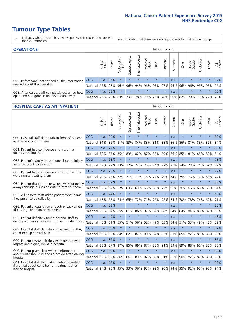- \* Indicates where a score has been suppressed because there are less than 21 responses.
- n.a. Indicates that there were no respondents for that tumour group.

| <b>OPERATIONS</b>                                |              |       |               |            |                |                               |                  |         | Tumour Group            |         |         |                 |                                  |         |                |
|--------------------------------------------------|--------------|-------|---------------|------------|----------------|-------------------------------|------------------|---------|-------------------------|---------|---------|-----------------|----------------------------------|---------|----------------|
|                                                  |              | Brain | <b>Breast</b> | Colorectal | Gynaecological | $\overline{3}$<br>Haematologi | Head and<br>Neck | Lung    | Prostate                | Sarcoma | Skin    | Upper<br>Gastro | $\overline{\sigma}$<br>Jrologica | Other   | All<br>Cancers |
| Q27. Beforehand, patient had all the information | <b>CCG</b>   | n.a.  | 98%           |            | $\star$        | $\star$                       | $\star$          | $\star$ | $\star$                 | n.a.    | $\star$ | $\star$         | $\star$                          | $\star$ | 97%            |
| needed about the operation                       | National 96% |       |               | 97% 96%    | 96%            |                               |                  |         | 94% 96% 95% 97% 95% 96% |         |         |                 | 96% 95% 95%                      |         | 96%            |
| Q28. Afterwards, staff completely explained how  | <b>CCG</b>   | n.a.  | 58%           |            | $\star$        | $\star$                       | $\star$          | $\star$ | $\star$                 | n.a.    | $\star$ | $\star$         | $\star$                          | $\star$ | 73%            |
| operation had gone in understandable way         | National     | 76%   |               | 79% 83%    |                | 79%   78%   79%               |                  |         | 79% 78% 80% 82% 79%     |         |         |                 |                                  | 76% 77% | 79%            |

#### **HOSPITAL CARE AS AN INPATIENT** Tumour Group

|                                                                                                  |            | Brain | <b>Breast</b> | $\frac{1}{2}$ Colorectal / | Gynaecological | Haematological          | Head and<br>Neck | Lung    | Prostate | Sarcoma | Skin    | Upper<br>Gastro | Urological      | Other   | Cancers<br>$\overline{\overline{z}}$ |
|--------------------------------------------------------------------------------------------------|------------|-------|---------------|----------------------------|----------------|-------------------------|------------------|---------|----------|---------|---------|-----------------|-----------------|---------|--------------------------------------|
| Q30. Hospital staff didn't talk in front of patient                                              | CCG        | n.a.  | 80%           | $\star$                    | $\star$        | $\star$                 | $\star$          | $\star$ | $\star$  | n.a.    | $\star$ | $\star$         | $\star$         | $\star$ | 83%                                  |
| as if patient wasn't there                                                                       | National   | 81%   | 86%           | 81%                        | 83%            | 84%                     | 83%              | 81%     | 88%      | 86%     | 86%     | 81%             | 83%             | 82%     | 84%                                  |
| 031. Patient had confidence and trust in all                                                     | CCG        | n.a.  | 77%           | $\star$                    | $\star$        | $\star$                 | $\star$          | $\star$ | $\star$  | n.a.    | $\star$ | $\star$         | $\star$         | $\star$ | 85%                                  |
| doctors treating them                                                                            | National   | 82%   | 83%           | 85%                        | 83%            | 82%                     |                  | 87% 83% | 89%      | 86%     | 85%     |                 | 81% 85%         | 80%     | 84%                                  |
| Q32. Patient's family or someone close definitely                                                | CCG        | n.a.  | 68%           | $\star$                    | $\star$        | $\star$                 | $\star$          | $\star$ | $\star$  | n.a.    | $\star$ | $\star$         | $\star$         | $\star$ | 73%                                  |
| felt able to talk to a doctor                                                                    | National   | 67%   | 72%           | 73%                        | 72%            | 74%                     | 75%              | 74%     | 72%      | 71%     | 74%     | 73%             | 71%             | 69%     | 72%                                  |
| Q33. Patient had confidence and trust in all the                                                 | CCG        | n.a.  | 70%           | $\star$                    | $\star$        | $\star$                 | $\star$          | $\star$ | $\star$  | n.a.    | $\star$ | $\star$         | $\star$         | $\star$ | 72%                                  |
| ward nurses treating them                                                                        | National   | 72%   | 73%           | 72%                        |                | 71% 77%                 | 75%              | 77%     | 79%      | 74%     | 75%     |                 | 73% 77%         | 69%     | 74%                                  |
| Q34. Patient thought there were always or nearly                                                 | CCG        | n.a.  | 69%           | $\star$                    | $\star$        | $\star$                 | $\star$          | $\star$ | $\star$  | n.a.    | $\star$ | $\star$         | $\star$         | $\star$ | 68%                                  |
| always enough nurses on duty to care for them                                                    | National   | 68%   | 64%           | 62%                        | 63%            | 63%                     | 65%              | 68%     | 72%      | 65%     | 70%     | 65%             | 66%             | 60%     | 64%                                  |
| Q35. All hospital staff asked patient what name                                                  | CCG        | n.a.  | 44%           | $\star$                    | $\star$        | $\star$                 | $\star$          | $\star$ | $\star$  | n.a.    | $\star$ | $\star$         | $\star$         | $\star$ | 52%                                  |
| they prefer to be called by                                                                      | National   | 68%   | 62%           | 74%                        | 65%            | 72%                     | 71%              | 76%     | 72%      | 74%     | 70%     | 78%             | 76%             | 69%     | 71%                                  |
| Q36. Patient always given enough privacy when                                                    | CCG        | n.a.  | 83%           | $\star$                    | $\star$        | $\star$                 | $\star$          | $\star$ | $\star$  | n.a.    | $\star$ | $\star$         | $\star$         | $\star$ | 85%                                  |
| discussing condition or treatment                                                                | National   | 78%   | 84%           | 85%                        | 81%            | 86%                     |                  | 87% 84% | 88%      | 84%     | 84%     | 84%             | 85%             | 82%     | 85%                                  |
| Q37. Patient definitely found hospital staff to                                                  | <b>CCG</b> | n.a.  | 49%           | $\star$                    | $\star$        | $\star$                 | $\star$          | $\star$ | $\star$  | n.a.    | $\star$ | $\star$         | $\star$         | $\star$ | 48%                                  |
| discuss worries or fears during their inpatient visit                                            | National   | 45%   | 51%           | 55%                        |                | 51% 56%                 | 52%              | 49%     | 53%      | 54%     | 51%     |                 | 53% 49%         | 46%     | 52%                                  |
| Q38. Hospital staff definitely did everything they                                               | CCG        | n.a.  | 85%           | $\star$                    | $\star$        | $\star$                 | $\star$          | $\star$ | $\star$  | n.a.    | $\star$ | $\star$         | $\star$         | $\star$ | 87%                                  |
| could to help control pain                                                                       | National   | 85%   | 83%           | 84%                        | 82%            | 82%                     | 80%              | 84%     | 85%      | 83%     | 85%     | 82%             | 81%             | 82%     | 83%                                  |
| Q39. Patient always felt they were treated with                                                  | CCG        | n.a.  | 86%           | $\star$                    | $\star$        | $\star$                 | $\star$          | $\star$ | $\star$  | n.a.    | $\star$ |                 | $\star$         | $\star$ | 85%                                  |
| respect and dignity while in hospital                                                            | National   | 85%   | 87%           | 87%                        | 85%            | 89%                     |                  | 87% 88% | 91%      | 89%     | 89%     | 88%             | 90%             | 86%     | 88%                                  |
| Q40. Patient given clear written information<br>about what should or should not do after leaving | CCG        | n.a.  | 95%           | $\star$                    | $\star$        | $\star$                 | $\star$          | $\star$ | $\star$  | n.a.    | $\star$ | $\star$         | $\star$         | $\star$ | 86%                                  |
| hospital                                                                                         | National   | 80%   | 89%           | 86%                        | 86%            | 83%                     |                  | 87% 82% | 91%      | 85%     | 90%     | 82%             | 87%             | 83%     | 86%                                  |
| Q41. Hospital staff told patient who to contact<br>if worried about condition or treatment after | CCG        | n.a.  | 98%           | $\star$                    | $\star$        | $\star$                 | $\star$          | $\star$ | $\star$  | n.a.    | $\star$ | $\star$         | $\star$         | $\star$ | 93%                                  |
| leaving hospital                                                                                 | National I | 94%   |               |                            |                | 95% 95% 93% 96% 93% 92% |                  |         | 96%      |         |         |                 | 94% 95% 92% 92% | 93%     | 94%                                  |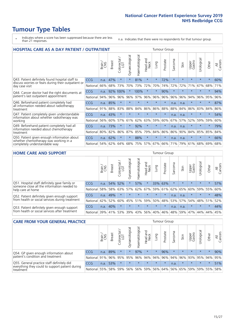# **Tumour Type Tables**

- \* Indicates where a score has been suppressed because there are less than 21 responses.
- n.a. Indicates that there were no respondents for that tumour group.

| <b>HOSPITAL CARE AS A DAY PATIENT / OUTPATIENT</b>                                                                       |            |       |               |                                                 |                |                |                        |          |          | <b>Tumour Group</b> |         |                 |            |         |                |
|--------------------------------------------------------------------------------------------------------------------------|------------|-------|---------------|-------------------------------------------------|----------------|----------------|------------------------|----------|----------|---------------------|---------|-----------------|------------|---------|----------------|
|                                                                                                                          |            | Brain | <b>Breast</b> | $\overline{\phantom{0}}$<br>Colorectal /<br>LGT | Gynaecological | Haematological | ad and<br>Neck<br>Head | Lung     | Prostate | arcoma<br>ιñ        | Skin    | Upper<br>Gastro | Urological | Other   | All<br>Cancers |
| Q43. Patient definitely found hospital staff to<br>discuss worries or fears during their outpatient or<br>day case visit | CCG        | n.a.  | 47%           | $\star$                                         | $\star$        | 81%            | $\star$                | $\star$  | 72%      | $\star$             | $\star$ | $\star$         | $\star$    | $\star$ | 60%            |
|                                                                                                                          | National   | 66%   | 68%           | 73%                                             | 70%            | 73%            | 72%                    | 70%      | 74%      | 72%                 | 72%     | 71%             | 67%        | 68%     | 71%            |
| Q44. Cancer doctor had the right documents at<br>patient's last outpatient appointment                                   | CCG        | n.a.  |               | 92% 100%                                        |                | 100%           | $\star$                | $^\star$ | 90%      | $\star$             |         |                 | $\star$    | $\star$ | 94%            |
|                                                                                                                          | National   | 94%   | 96%           | 96%                                             | 96%            | 97%            | 96%                    | 96%      | 96%      | 96%                 | 96%     | 94%             | 96%        | 95%     | 96%            |
| Q46. Beforehand patient completely had                                                                                   | <b>CCG</b> | n.a.  | 85%           | $\star$                                         |                | $\star$        | $\star$                | $\star$  | $\star$  | n.a.                | n.a.    | $\star$         | $\star$    | $\ast$  | 87%            |
| all information needed about radiotherapy<br>treatment                                                                   | National   | 91%   | 88%           | 83%                                             | 88%            | 84%            | 86%                    | 86%      | 88%      | 88%                 | 84%     | 86%             | 83%        | 84%     | 86%            |
| Q47. Patient completely given understandable<br>information about whether radiotherapy was<br>working                    | <b>CCG</b> | n.a.  | 43%           | $\star$                                         |                |                | $\star$                | $\star$  | $\star$  | n.a.                | n.a.    | $\star$         | $\star$    | $\star$ | 54%            |
|                                                                                                                          | National   | 56%   | 60%           | 57%                                             | 61%            | 62%            | 63%                    | 59%      | 60%      | 67%                 | 57%     | 52%             | 59%        | 59%     | 60%            |
| Q49. Beforehand patient completely had all                                                                               | CCG        | n.a.  | 73%           | $\star$                                         | $\star$        | 92%            | $\star$                | $\star$  | $\star$  | n.a.                | n.a.    | $\star$         | $\star$    | $\ast$  | 79%            |
| information needed about chemotherapy<br>treatment                                                                       | National   | 80%   | 82%           | 86%                                             | 87%            | 85%            | 79%                    | 84%      | 86%      | 86%                 | 90%     | 84%             | 85%        | 85%     | 84%            |
| Q50. Patient given enough information about<br>whether chemotherapy was working in a<br>completely understandable way    | <b>CCG</b> | n.a.  | 62%           | $\star$                                         | $\star$        | 88%            | $\star$                | $\star$  | $\star$  | n.a.                | n.a.    |                 |            | $\star$ | 66%            |
|                                                                                                                          | National   | 54%   | 62%           | 64%                                             | 68%            | 75%            |                        | 57% 67%  | 66%      | 71%                 | 79%     | 61%             | 68%        | 69%     | 68%            |

#### **HOME CARE AND SUPPORT** Tumour Group

|                                                                                                                   |            | Brain | <b>Breast</b> | Colorectal<br>LGT | ᢛ<br>Gynaecologic | Haematological | ad and<br>Neck<br>Head | <b>Lung</b> | Prostate | Sarcoma | Skin    | Upper<br>Gastro | Urological | Other   | All<br>Cancers |
|-------------------------------------------------------------------------------------------------------------------|------------|-------|---------------|-------------------|-------------------|----------------|------------------------|-------------|----------|---------|---------|-----------------|------------|---------|----------------|
| Q51. Hospital staff definitely gave family or<br>someone close all the information needed to<br>help care at home | <b>CCG</b> | n.a.  |               | 54% 52%           | $\star$           | 57%            | $\star$                |             | 33% 63%  | $\star$ | $\star$ | $\star$         | $\star$    | $\star$ | 57%            |
|                                                                                                                   | National   | 58%   | 58%           | 63%               | 57%               | 62%            | 67%                    | 59%         | 61%      |         | 62% 65% | 60%             | 59%        | 55%     | 60%            |
| Q52. Patient definitely given enough support<br>from health or social services during treatment                   | <b>CCG</b> | n.a.  | 49%           |                   | $\star$           | $\star$        | $\star$                | $\star$     | $\star$  | n.a.    | n.a.    | $\star$         | $\star$    | $\star$ | 48%            |
|                                                                                                                   | National   | 42%   | 52%           | 60%               |                   | 45% 51%        | 59%                    | 50%         | 48%      |         | 53% 57% | 54%             | 48% 51%    |         | 52%            |
| Q53. Patient definitely given enough support<br>from health or social services after treatment                    | <b>CCG</b> | n.a.  | 40%           |                   | $\star$           | $\star$        | $\star$                | $\star$     | $\star$  | n.a.    | n.a.    | $\star$         | $\star$    | $\star$ | 44%            |
|                                                                                                                   | National   | 39%   |               | 41% 53%           | 39%               | 43%            | 56%                    | 40%         | 46%      |         | 48% 59% | 47%             | 44%        | 44%     | 45%            |

| <b>CARE FROM YOUR GENERAL PRACTICE</b>                                                                     |              |        |               |            |                |                | <b>Tumour Group</b> |         |          |         |                         |                 |                      |         |                |  |
|------------------------------------------------------------------------------------------------------------|--------------|--------|---------------|------------|----------------|----------------|---------------------|---------|----------|---------|-------------------------|-----------------|----------------------|---------|----------------|--|
|                                                                                                            |              | Brain, | <b>Breast</b> | Colorectal | Gynaecological | Haematological | Head and<br>Neck    | Lung    | Prostate | Sarcoma | Skin                    | Upper<br>Gastro | $\sigma$<br>Urologic | Other   | All<br>Cancers |  |
| Q54. GP given enough information about<br>patient's condition and treatment                                | CCG          | n.a.   | 89%           | $\star$    | $\star$        | 97%            | $\star$             | $\star$ | 96%      | $\star$ | $\star$                 | $\star$         | $\star$              | $\star$ | 90%            |  |
|                                                                                                            | National 91% |        |               | 96% 95%    | 95%            |                | 96% 94% 94% 96%     |         |          |         | 94% 96% 93% 95% 94% 95% |                 |                      |         |                |  |
| Q55. General practice staff definitely did<br>everything they could to support patient during<br>treatment | <b>CCG</b>   | n.a.   | 53%           | $\star$    | $\star$        | $\star$        | $\star$             | $\star$ | $\star$  | n.a.    | $\star$                 | $\star$         | $\star$              | $\star$ | 51%            |  |
|                                                                                                            | National 55% |        |               | 58% 59%    | 56%            |                | 56% 59% 56% 64%     |         |          |         | 56% 65% 59%             |                 |                      | 59% 55% | 58%            |  |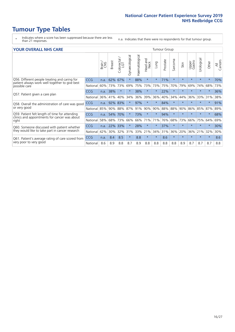- \* Indicates where a score has been suppressed because there are less than 21 responses.
- n.a. Indicates that there were no respondents for that tumour group.

#### **YOUR OVERALL NHS CARE** THE CONSTRUCTION OF THE THROUP GROUP TUMOUR GROUP

| I YYN Y YLIVALL I YI IY YANL |       |               |                             |                |                |                         |                       |          |                      | iumvui vivup |                 |           |         |                |  |  |  |  |  |  |
|------------------------------|-------|---------------|-----------------------------|----------------|----------------|-------------------------|-----------------------|----------|----------------------|--------------|-----------------|-----------|---------|----------------|--|--|--|--|--|--|
|                              | Brain | <b>Breast</b> | ╮<br>olorectal.<br>LGT<br>Ū | Gynaecological | Haematological | aad and<br>Neck<br>Head | Lung                  | Prostate | arcoma<br>$\sqrt{ }$ | Skin         | Upper<br>Gastro | Jrologica | Other   | All<br>Cancers |  |  |  |  |  |  |
| <b>CCG</b>                   | n.a.  | 62%           | 67%                         |                | 88%            | $\star$                 | $\star$               | 71%      | $\star$              | $\star$      | $\star$         | $\star$   | $\ast$  | 70%            |  |  |  |  |  |  |
| National                     | 60%   | 73%           | 73%                         | 69%            | 75%            | 73%                     | 73%                   | 75%      | 70%                  | 79%          | 69%             | 74%       | 68%     | 73%            |  |  |  |  |  |  |
| <b>CCG</b>                   | n.a.  | 38%           | $\star$                     |                | 38%            | $\star$                 | $\star$               | 22%      | $\star$              | $\star$      | $\star$         | $\star$   | $\ast$  | 36%            |  |  |  |  |  |  |
| National                     | 36%   | 41%           | 40%                         | 34%            | 36%            | 39%                     | 36%                   | 40%      | 34%                  | 44%          | 36%             | 33%       | 31%     | 38%            |  |  |  |  |  |  |
| <b>CCG</b>                   | n.a.  | 92%           | 83%                         |                | 97%            | $\ast$                  |                       | 84%      | $\star$              | $\star$      |                 |           | $\star$ | 91%            |  |  |  |  |  |  |
| National                     |       |               | 88%                         | 87%            | 91%            |                         |                       |          | 88%                  | 90%          | 86%             | 85%       | 87%     | 89%            |  |  |  |  |  |  |
| CCG                          | n.a.  | 54%           | 70%                         |                | 73%            | $\star$                 | $\star$               | 94%      | $\star$              | $\star$      |                 | $\star$   | $\star$ | 68%            |  |  |  |  |  |  |
| National                     | 58%   | 68%           | 73%                         | 66%            | 66%            |                         | 71%                   | 76%      | 68%                  | 73%          | 66%             | 75%       | 64%     | 69%            |  |  |  |  |  |  |
| <b>CCG</b>                   | n.a.  | 22%           | 33%                         |                | 28%            | $\star$                 | $\star$               | 37%      | $\star$              | $\star$      |                 |           | $\star$ | 30%            |  |  |  |  |  |  |
| National                     | 42%   | 30%           | 32%                         | 31%            |                |                         | 34%                   | 31%      | 36%                  | 20%          | 36%             | 21%       | 32%     | 30%            |  |  |  |  |  |  |
| <b>CCG</b>                   | n.a.  | 8.4           | 8.5                         | $\star$        | 8.8            | $\star$                 | $\star$               | 8.6      | $\star$              | $\star$      | $\star$         | $\star$   | $\ast$  | 8.6            |  |  |  |  |  |  |
| National                     | 8.6   | 8.9           | 8.8                         | 8.7            | 8.9            | 8.8                     | 8.8                   | 8.8      | 8.8                  | 8.9          | 8.7             | 8.7       | 8.7     | 8.8            |  |  |  |  |  |  |
|                              |       | 85%           |                             | 90%            |                |                         | 90%<br>71%<br>33% 21% | 90%      | 88%                  |              |                 |           |         |                |  |  |  |  |  |  |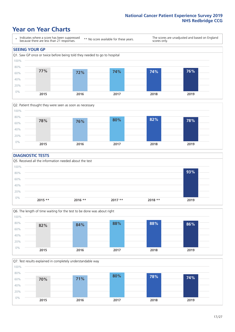### **Year on Year Charts**





#### **DIAGNOSTIC TESTS**





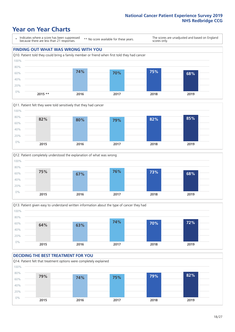### **Year on Year Charts**

\* Indicates where a score has been suppressed because there are less than 21 responses.

\*\* No score available for these years.

The scores are unadjusted and based on England scores only.









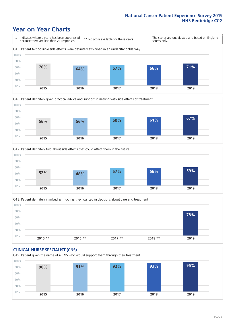### **Year on Year Charts**







Q18. Patient definitely involved as much as they wanted in decisions about care and treatment  $0%$ 20% 40% 60% 80% 100% **2015 \*\* 2016 \*\* 2017 \*\* 2018 \*\* 2019 78%**

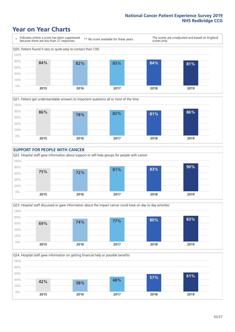### **Year on Year Charts**









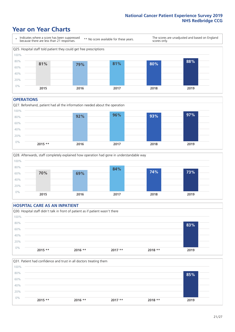### **Year on Year Charts**



#### **OPERATIONS**





#### **HOSPITAL CARE AS AN INPATIENT** Q30. Hospital staff didn't talk in front of patient as if patient wasn't there 0% 20% 40% 60% 80% 100% **2015 \*\* 2016 \*\* 2017 \*\* 2018 \*\* 2019 83%**

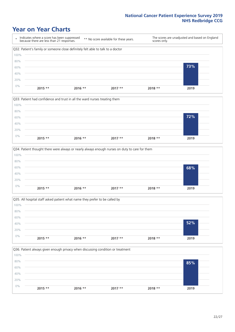### **Year on Year Charts**









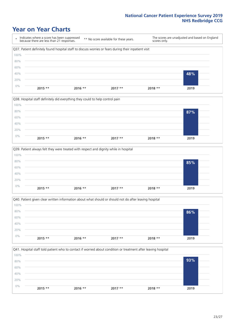### **Year on Year Charts**









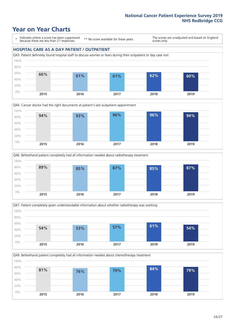### **Year on Year Charts**

\* Indicates where a score has been suppressed because there are less than 21 responses.

\*\* No score available for these years.

The scores are unadjusted and based on England scores only.

#### **HOSPITAL CARE AS A DAY PATIENT / OUTPATIENT**









Q49. Beforehand patient completely had all information needed about chemotherapy treatment 100%

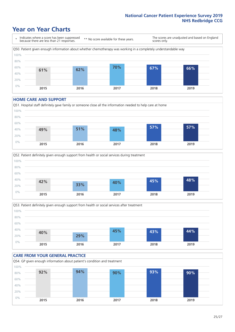### **Year on Year Charts**

\* Indicates where a score has been suppressed because there are less than 21 responses. \*\* No score available for these years. The scores are unadjusted and based on England scores only. Q50. Patient given enough information about whether chemotherapy was working in a completely understandable way 0% 20% 40% 60% 80% 100% **2015 2016 2017 2018 2019 61% 62% 70% 67% 66%**

#### **HOME CARE AND SUPPORT**







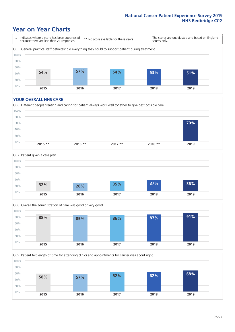### **Year on Year Charts**

\* Indicates where a score has been suppressed because there are less than 21 responses.

\*\* No score available for these years.

The scores are unadjusted and based on England scores only.



#### **YOUR OVERALL NHS CARE**







Q59. Patient felt length of time for attending clinics and appointments for cancer was about right